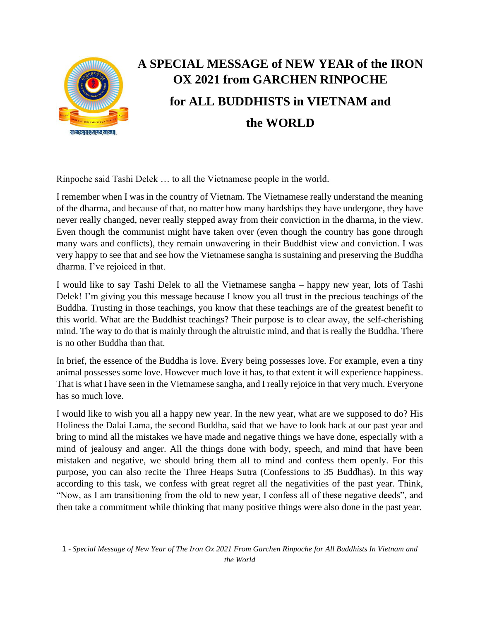

## **A SPECIAL MESSAGE of NEW YEAR of the IRON OX 2021 from GARCHEN RINPOCHE for ALL BUDDHISTS in VIETNAM and the WORLD**

Rinpoche said Tashi Delek … to all the Vietnamese people in the world.

I remember when I was in the country of Vietnam. The Vietnamese really understand the meaning of the dharma, and because of that, no matter how many hardships they have undergone, they have never really changed, never really stepped away from their conviction in the dharma, in the view. Even though the communist might have taken over (even though the country has gone through many wars and conflicts), they remain unwavering in their Buddhist view and conviction. I was very happy to see that and see how the Vietnamese sangha is sustaining and preserving the Buddha dharma. I've rejoiced in that.

I would like to say Tashi Delek to all the Vietnamese sangha – happy new year, lots of Tashi Delek! I'm giving you this message because I know you all trust in the precious teachings of the Buddha. Trusting in those teachings, you know that these teachings are of the greatest benefit to this world. What are the Buddhist teachings? Their purpose is to clear away, the self-cherishing mind. The way to do that is mainly through the altruistic mind, and that is really the Buddha. There is no other Buddha than that.

In brief, the essence of the Buddha is love. Every being possesses love. For example, even a tiny animal possesses some love. However much love it has, to that extent it will experience happiness. That is what I have seen in the Vietnamese sangha, and I really rejoice in that very much. Everyone has so much love.

I would like to wish you all a happy new year. In the new year, what are we supposed to do? His Holiness the Dalai Lama, the second Buddha, said that we have to look back at our past year and bring to mind all the mistakes we have made and negative things we have done, especially with a mind of jealousy and anger. All the things done with body, speech, and mind that have been mistaken and negative, we should bring them all to mind and confess them openly. For this purpose, you can also recite the Three Heaps Sutra (Confessions to 35 Buddhas). In this way according to this task, we confess with great regret all the negativities of the past year. Think, "Now, as I am transitioning from the old to new year, I confess all of these negative deeds", and then take a commitment while thinking that many positive things were also done in the past year.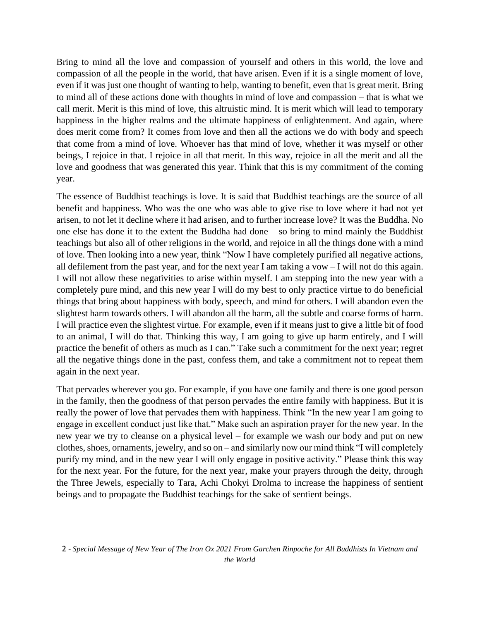Bring to mind all the love and compassion of yourself and others in this world, the love and compassion of all the people in the world, that have arisen. Even if it is a single moment of love, even if it was just one thought of wanting to help, wanting to benefit, even that is great merit. Bring to mind all of these actions done with thoughts in mind of love and compassion – that is what we call merit. Merit is this mind of love, this altruistic mind. It is merit which will lead to temporary happiness in the higher realms and the ultimate happiness of enlightenment. And again, where does merit come from? It comes from love and then all the actions we do with body and speech that come from a mind of love. Whoever has that mind of love, whether it was myself or other beings, I rejoice in that. I rejoice in all that merit. In this way, rejoice in all the merit and all the love and goodness that was generated this year. Think that this is my commitment of the coming year.

The essence of Buddhist teachings is love. It is said that Buddhist teachings are the source of all benefit and happiness. Who was the one who was able to give rise to love where it had not yet arisen, to not let it decline where it had arisen, and to further increase love? It was the Buddha. No one else has done it to the extent the Buddha had done – so bring to mind mainly the Buddhist teachings but also all of other religions in the world, and rejoice in all the things done with a mind of love. Then looking into a new year, think "Now I have completely purified all negative actions, all defilement from the past year, and for the next year I am taking a vow – I will not do this again. I will not allow these negativities to arise within myself. I am stepping into the new year with a completely pure mind, and this new year I will do my best to only practice virtue to do beneficial things that bring about happiness with body, speech, and mind for others. I will abandon even the slightest harm towards others. I will abandon all the harm, all the subtle and coarse forms of harm. I will practice even the slightest virtue. For example, even if it means just to give a little bit of food to an animal, I will do that. Thinking this way, I am going to give up harm entirely, and I will practice the benefit of others as much as I can." Take such a commitment for the next year; regret all the negative things done in the past, confess them, and take a commitment not to repeat them again in the next year.

That pervades wherever you go. For example, if you have one family and there is one good person in the family, then the goodness of that person pervades the entire family with happiness. But it is really the power of love that pervades them with happiness. Think "In the new year I am going to engage in excellent conduct just like that." Make such an aspiration prayer for the new year. In the new year we try to cleanse on a physical level – for example we wash our body and put on new clothes, shoes, ornaments, jewelry, and so on – and similarly now our mind think "I will completely purify my mind, and in the new year I will only engage in positive activity." Please think this way for the next year. For the future, for the next year, make your prayers through the deity, through the Three Jewels, especially to Tara, Achi Chokyi Drolma to increase the happiness of sentient beings and to propagate the Buddhist teachings for the sake of sentient beings.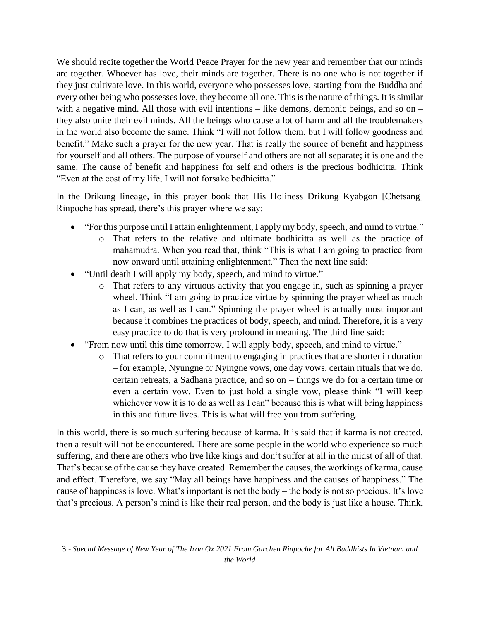We should recite together the World Peace Prayer for the new year and remember that our minds are together. Whoever has love, their minds are together. There is no one who is not together if they just cultivate love. In this world, everyone who possesses love, starting from the Buddha and every other being who possesses love, they become all one. This is the nature of things. It is similar with a negative mind. All those with evil intentions  $-$  like demons, demonic beings, and so on  $$ they also unite their evil minds. All the beings who cause a lot of harm and all the troublemakers in the world also become the same. Think "I will not follow them, but I will follow goodness and benefit." Make such a prayer for the new year. That is really the source of benefit and happiness for yourself and all others. The purpose of yourself and others are not all separate; it is one and the same. The cause of benefit and happiness for self and others is the precious bodhicitta. Think "Even at the cost of my life, I will not forsake bodhicitta."

In the Drikung lineage, in this prayer book that His Holiness Drikung Kyabgon [Chetsang] Rinpoche has spread, there's this prayer where we say:

- "For this purpose until I attain enlightenment, I apply my body, speech, and mind to virtue."
	- o That refers to the relative and ultimate bodhicitta as well as the practice of mahamudra. When you read that, think "This is what I am going to practice from now onward until attaining enlightenment." Then the next line said:
- "Until death I will apply my body, speech, and mind to virtue."
	- o That refers to any virtuous activity that you engage in, such as spinning a prayer wheel. Think "I am going to practice virtue by spinning the prayer wheel as much as I can, as well as I can." Spinning the prayer wheel is actually most important because it combines the practices of body, speech, and mind. Therefore, it is a very easy practice to do that is very profound in meaning. The third line said:
- "From now until this time tomorrow, I will apply body, speech, and mind to virtue."
	- o That refers to your commitment to engaging in practices that are shorter in duration – for example, Nyungne or Nyingne vows, one day vows, certain rituals that we do, certain retreats, a Sadhana practice, and so on – things we do for a certain time or even a certain vow. Even to just hold a single vow, please think "I will keep whichever vow it is to do as well as I can" because this is what will bring happiness in this and future lives. This is what will free you from suffering.

In this world, there is so much suffering because of karma. It is said that if karma is not created, then a result will not be encountered. There are some people in the world who experience so much suffering, and there are others who live like kings and don't suffer at all in the midst of all of that. That's because of the cause they have created. Remember the causes, the workings of karma, cause and effect. Therefore, we say "May all beings have happiness and the causes of happiness." The cause of happiness is love. What's important is not the body – the body is not so precious. It's love that's precious. A person's mind is like their real person, and the body is just like a house. Think,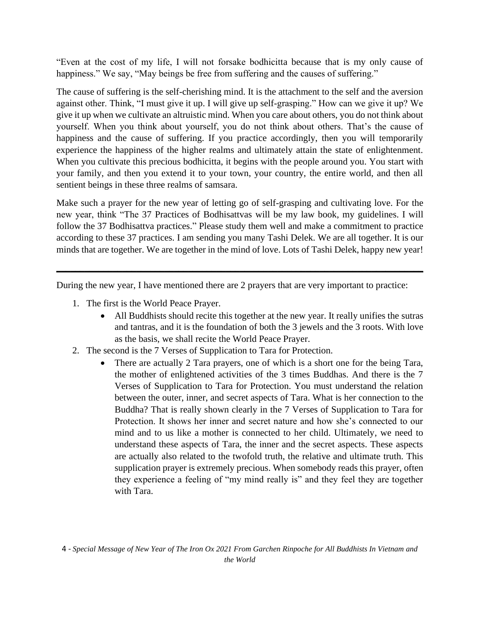"Even at the cost of my life, I will not forsake bodhicitta because that is my only cause of happiness." We say, "May beings be free from suffering and the causes of suffering."

The cause of suffering is the self-cherishing mind. It is the attachment to the self and the aversion against other. Think, "I must give it up. I will give up self-grasping." How can we give it up? We give it up when we cultivate an altruistic mind. When you care about others, you do not think about yourself. When you think about yourself, you do not think about others. That's the cause of happiness and the cause of suffering. If you practice accordingly, then you will temporarily experience the happiness of the higher realms and ultimately attain the state of enlightenment. When you cultivate this precious bodhicitta, it begins with the people around you. You start with your family, and then you extend it to your town, your country, the entire world, and then all sentient beings in these three realms of samsara.

Make such a prayer for the new year of letting go of self-grasping and cultivating love. For the new year, think "The 37 Practices of Bodhisattvas will be my law book, my guidelines. I will follow the 37 Bodhisattva practices." Please study them well and make a commitment to practice according to these 37 practices. I am sending you many Tashi Delek. We are all together. It is our minds that are together. We are together in the mind of love. Lots of Tashi Delek, happy new year!

**\_\_\_\_\_\_\_\_\_\_\_\_\_\_\_\_\_\_\_\_\_\_\_\_\_\_\_\_\_\_\_\_\_\_\_\_\_\_\_\_\_\_\_\_\_\_\_\_\_\_\_\_\_\_\_\_\_\_\_\_\_\_\_\_\_\_\_\_\_\_\_\_\_\_\_\_\_\_**

During the new year, I have mentioned there are 2 prayers that are very important to practice:

- 1. The first is the World Peace Prayer.
	- All Buddhists should recite this together at the new year. It really unifies the sutras and tantras, and it is the foundation of both the 3 jewels and the 3 roots. With love as the basis, we shall recite the World Peace Prayer.
- 2. The second is the 7 Verses of Supplication to Tara for Protection.
	- There are actually 2 Tara prayers, one of which is a short one for the being Tara, the mother of enlightened activities of the 3 times Buddhas. And there is the 7 Verses of Supplication to Tara for Protection. You must understand the relation between the outer, inner, and secret aspects of Tara. What is her connection to the Buddha? That is really shown clearly in the 7 Verses of Supplication to Tara for Protection. It shows her inner and secret nature and how she's connected to our mind and to us like a mother is connected to her child. Ultimately, we need to understand these aspects of Tara, the inner and the secret aspects. These aspects are actually also related to the twofold truth, the relative and ultimate truth. This supplication prayer is extremely precious. When somebody reads this prayer, often they experience a feeling of "my mind really is" and they feel they are together with Tara.